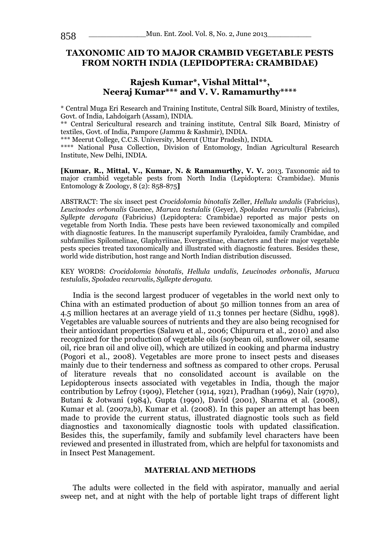## **TAXONOMIC AID TO MAJOR CRAMBID VEGETABLE PESTS FROM NORTH INDIA (LEPIDOPTERA: CRAMBIDAE)**

# **Rajesh Kumar\*, Vishal Mittal\*\*, Neeraj Kumar\*\*\* and V. V. Ramamurthy\*\*\*\***

\* Central Muga Eri Research and Training Institute, Central Silk Board, Ministry of textiles, Govt. of India, Lahdoigarh (Assam), INDIA.

\*\* Central Sericultural research and training institute, Central Silk Board, Ministry of textiles, Govt. of India, Pampore (Jammu & Kashmir), INDIA.

\*\*\* Meerut College, C.C.S. University, Meerut (Uttar Pradesh), INDIA.

\*\*\*\* National Pusa Collection, Division of Entomology, Indian Agricultural Research Institute, New Delhi, INDIA.

**[Kumar, R., Mittal, V., Kumar, N. & Ramamurthy, V. V. 2013. Taxonomic aid to** major crambid vegetable pests from North India (Lepidoptera: Crambidae). Munis Entomology & Zoology, 8 (2): 858-875**]**

ABSTRACT: The six insect pest *Crocidolomia binotalis* Zeller, *Hellula undalis* (Fabricius), *Leucinodes orbonalis* Guenee, *Maruca testulalis* (Geyer), *Spoladea recurvalis* (Fabricius), *Syllepte derogata* (Fabricius) (Lepidoptera: Crambidae) reported as major pests on vegetable from North India. These pests have been reviewed taxonomically and compiled with diagnostic features. In the manuscript superfamily Pyraloidea, family Crambidae, and subfamilies Spilomelinae, Glaphyriinae, Evergestinae, characters and their major vegetable pests species treated taxonomically and illustrated with diagnostic features. Besides these, world wide distribution, host range and North Indian distribution discussed.

#### KEY WORDS: *Crocidolomia binotalis*, *Hellula undalis*, *Leucinodes orbonalis*, *Maruca testulalis*, *Spoladea recurvalis*, *Syllepte derogata.*

India is the second largest producer of vegetables in the world next only to China with an estimated production of about 50 million tonnes from an area of 4.5 million hectares at an average yield of 11.3 tonnes per hectare (Sidhu, 1998). Vegetables are valuable sources of nutrients and they are also being recognised for their antioxidant properties (Salawu et al., 2006; Chipurura et al., 2010) and also recognized for the production of vegetable oils (soybean oil, sunflower oil, sesame oil, rice bran oil and olive oil), which are utilized in cooking and pharma industry (Pogori et al., 2008). Vegetables are more prone to insect pests and diseases mainly due to their tenderness and softness as compared to other crops. Perusal of literature reveals that no consolidated account is available on the Lepidopterous insects associated with vegetables in India, though the major contribution by Lefroy (1909), Fletcher (1914, 1921), Pradhan (1969), Nair (1970), Butani & Jotwani (1984), Gupta (1990), David (2001), Sharma et al. (2008), Kumar et al. (2007a,b), Kumar et al. (2008). In this paper an attempt has been made to provide the current status, illustrated diagnostic tools such as field diagnostics and taxonomically diagnostic tools with updated classification. Besides this, the superfamily, family and subfamily level characters have been reviewed and presented in illustrated from, which are helpful for taxonomists and in Insect Pest Management.

### **MATERIAL AND METHODS**

The adults were collected in the field with aspirator, manually and aerial sweep net, and at night with the help of portable light traps of different light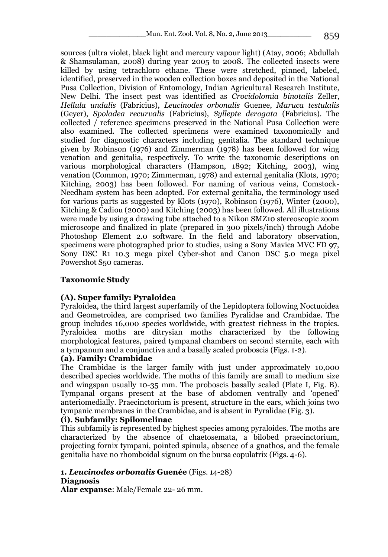sources (ultra violet, black light and mercury vapour light) (Atay, 2006; Abdullah & Shamsulaman, 2008) during year 2005 to 2008. The collected insects were killed by using tetrachloro ethane. These were stretched, pinned, labeled, identified, preserved in the wooden collection boxes and deposited in the National Pusa Collection, Division of Entomology, Indian Agricultural Research Institute, New Delhi. The insect pest was identified as *Crocidolomia binotalis* Zeller, *Hellula undalis* (Fabricius), *Leucinodes orbonalis* Guenee, *Maruca testulalis* (Geyer), *Spoladea recurvalis* (Fabricius), *Syllepte derogata* (Fabricius). The collected / reference specimens preserved in the National Pusa Collection were also examined. The collected specimens were examined taxonomically and studied for diagnostic characters including genitalia. The standard technique given by Robinson (1976) and Zimmerman (1978) has been followed for wing venation and genitalia, respectively. To write the taxonomic descriptions on various morphological characters (Hampson, 1892; Kitching, 2003), wing venation (Common, 1970; Zimmerman, 1978) and external genitalia (Klots, 1970; Kitching, 2003) has been followed. For naming of various veins, Comstock-Needham system has been adopted. For external genitalia, the terminology used for various parts as suggested by Klots (1970), Robinson (1976), Winter (2000), Kitching & Cadiou (2000) and Kitching (2003) has been followed. All illustrations were made by using a drawing tube attached to a Nikon SMZ10 stereoscopic zoom microscope and finalized in plate (prepared in 300 pixels/inch) through Adobe Photoshop Element 2.0 software. In the field and laboratory observation, specimens were photographed prior to studies, using a Sony Mavica MVC FD 97, Sony DSC R1 10.3 mega pixel Cyber-shot and Canon DSC 5.0 mega pixel Powershot S50 cameras.

# **Taxonomic Study**

# **(A). Super family: Pyraloidea**

Pyraloidea, the third largest superfamily of the Lepidoptera following Noctuoidea and Geometroidea, are comprised two families Pyralidae and Crambidae. The group includes 16,000 species worldwide, with greatest richness in the tropics. Pyraloidea moths are ditrysian moths characterized by the following morphological features, paired tympanal chambers on second sternite, each with a tympanum and a conjunctiva and a basally scaled proboscis (Figs. 1-2).

## **(a). Family: Crambidae**

The Crambidae is the larger family with just under approximately 10,000 described species worldwide. The moths of this family are small to medium size and wingspan usually 10-35 mm. The proboscis basally scaled (Plate I, Fig. B). Tympanal organs present at the base of abdomen ventrally and 'opened' anteriomedially. Praecinctorium is present, structure in the ears, which joins two tympanic membranes in the Crambidae, and is absent in Pyralidae (Fig. 3).

## **(i). Subfamily: Spilomelinae**

This subfamily is represented by highest species among pyraloides. The moths are characterized by the absence of chaetosemata, a bilobed praecinctorium, projecting fornix tympani, pointed spinula, absence of a gnathos, and the female genitalia have no rhomboidal signum on the bursa copulatrix (Figs. 4-6).

### **1.** *Leucinodes orbonalis* **Guenée** (Figs. 14-28) **Diagnosis**

**Alar expanse**: Male/Female 22- 26 mm.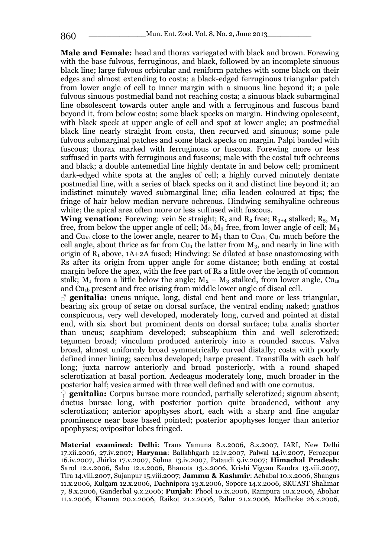**Male and Female:** head and thorax variegated with black and brown. Forewing with the base fulvous, ferruginous, and black, followed by an incomplete sinuous black line; large fulvous orbicular and reniform patches with some black on their edges and almost extending to costa; a black-edged ferruginous triangular patch from lower angle of cell to inner margin with a sinuous line beyond it; a pale fulvous sinuous postmedial band not reaching costa; a sinuous black subarmginal line obsolescent towards outer angle and with a ferruginous and fuscous band beyond it, from below costa; some black specks on margin. Hindwing opalescent, with black speck at upper angle of cell and spot at lower angle; an postmedial black line nearly straight from costa, then recurved and sinuous; some pale fulvous submarginal patches and some black specks on margin. Palpi banded with fuscous; thorax marked with ferruginous or fuscous. Forewing more or less suffused in parts with ferruginous and fuscous; male with the costal tuft ochreous and black; a double antemedial line highly dentate in and below cell; prominent dark-edged white spots at the angles of cell; a highly curved minutely dentate postmedial line, with a series of black specks on it and distinct line beyond it; an indistinct minutely waved submarginal line; cilia leaden coloured at tips; the fringe of hair below median nervure ochreous. Hindwing semihyaline ochreous white; the apical area often more or less suffused with fuscous.

**Wing venation:** Forewing: vein Sc straight;  $R_1$  and  $R_2$  free;  $R_{3+4}$  stalked;  $R_5$ ,  $M_1$ free, from below the upper angle of cell;  $\overline{M}_2$ ,  $\overline{M}_3$  free, from lower angle of cell;  $M_3$ and Cu<sub>1a</sub> close to the lower angle, nearer to  $M_3$  than to Cu<sub>1b</sub>; Cu<sub>1</sub> much before the cell angle, about thrice as far from  $Cu<sub>1</sub>$  the latter from  $M<sub>3</sub>$ , and nearly in line with origin of  $R_1$  above,  $1A+2A$  fused; Hindwing: Sc dilated at base anastomosing with Rs after its origin from upper angle for some distance; both ending at costal margin before the apex, with the free part of Rs a little over the length of common stalk; M<sub>1</sub> from a little below the angle;  $M_2 - M_3$  stalked, from lower angle, Cu<sub>1a</sub> and Cu1b present and free arising from middle lower angle of discal cell.

 $\beta$  **genitalia:** uncus unique, long, distal end bent and more or less triangular, bearing six group of setae on dorsal surface, the ventral ending naked; gnathos conspicuous, very well developed, moderately long, curved and pointed at distal end, with six short but prominent dents on dorsal surface; tuba analis shorter than uncus; scaphium developed; subscaphium thin and well sclerotized; tegumen broad; vinculum produced anteriroly into a rounded saccus. Valva broad, almost uniformly broad symmetrically curved distally; costa with poorly defined inner lining; sacculus developed; harpe present. Transtilla with each half long; juxta narrow anteriorly and broad posteriorly, with a round shaped sclerotization at basal portion. Aedeagus moderately long, much broader in the posterior half; vesica armed with three well defined and with one cornutus.

♀ **genitalia:** Corpus bursae more rounded, partially sclerotized; signum absent; ductus bursae long, with posterior portion quite broadened, without any sclerotization; anterior apophyses short, each with a sharp and fine angular prominence near base based pointed; posterior apophyses longer than anterior apophyses; ovipositor lobes fringed.

**Material examined: Delhi**: Trans Yamuna 8.x.2006, 8.x.2007, IARI, New Delhi 17.xii.2006, 27.iv.2007; **Haryana**: Ballabhgarh 12.iv.2007, Palwal 14.iv.2007, Ferozepur 16.iv.2007, Jhirka 17.v.2007, Sohna 13.iv.2007, Pataudi 9.iv.2007; **Himachal Pradesh**: Sarol 12.x.2006, Saho 12.x.2006, Bhanota 13.x.2006, Krishi Vigyan Kendra 13.viii.2007, Tira 14.viii.2007, Sujanpur 15.viii.2007; **Jammu & Kashmir**: Achabal 10.x.2006, Shangus 11.x.2006, Kulgam 12.x.2006, Dachnipora 13.x.2006, Sopore 14.x.2006, SKUAST Shalimar 7, 8.x.2006, Ganderbal 9.x.2006; **Punjab**: Phool 10.ix.2006, Rampura 10.x.2006, Abohar 11.x.2006, Khanna 20.x.2006, Raikot 21.x.2006, Balur 21.x.2006, Madhoke 26.x.2006,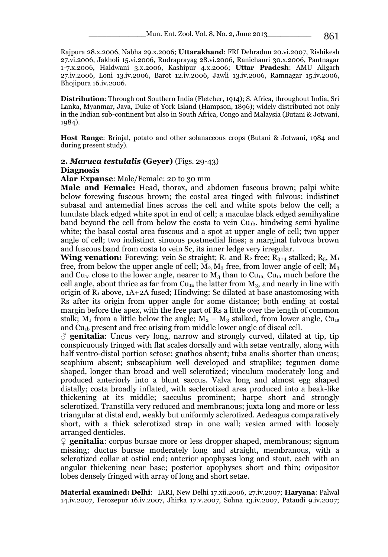Rajpura 28.x.2006, Nabha 29.x.2006; **Uttarakhand**: FRI Dehradun 20.vi.2007, Rishikesh 27.vi.2006, Jakholi 15.vi.2006, Rudraprayag 28.vi.2006, Ranichauri 30.x.2006, Pantnagar 1-7.x.2006, Haldwani 3.x.2006, Kashipur 4.x.2006; **Uttar Pradesh**: AMU Aligarh 27.iv.2006, Loni 13.iv.2006, Barot 12.iv.2006, Jawli 13.iv.2006, Ramnagar 15.iv.2006, Bhojipura 16.iv.2006.

**Distribution**: Through out Southern India (Fletcher, 1914); S. Africa, throughout India, Sri Lanka, Myanmar, Java, Duke of York Island (Hampson, 1896); widely distributed not only in the Indian sub-continent but also in South Africa, Congo and Malaysia (Butani & Jotwani, 1984).

**Host Range**: Brinjal, potato and other solanaceous crops (Butani & Jotwani, 1984 and during present study).

### **2.** *Maruca testulalis* **(Geyer)** (Figs. 29-43) **Diagnosis**

**Alar Expanse**: Male/Female: 20 to 30 mm

**Male and Female:** Head, thorax, and abdomen fuscous brown; palpi white below forewing fuscous brown; the costal area tinged with fulvous; indistinct subasal and antemedial lines across the cell and white spots below the cell; a lunulate black edged white spot in end of cell; a maculae black edged semihyaline band beyond the cell from below the costa to vein Cu1b. hindwing semi hyaline white; the basal costal area fuscous and a spot at upper angle of cell; two upper angle of cell; two indistinct sinuous postmedial lines; a marginal fulvous brown and fuscous band from costa to vein Sc, its inner ledge very irregular.

**Wing venation:** Forewing: vein Sc straight;  $R_1$  and  $R_2$  free;  $R_{3+4}$  stalked;  $R_5$ ,  $M_1$ free, from below the upper angle of cell;  $M_2$ ,  $M_3$  free, from lower angle of cell;  $M_3$ and Cu<sub>1a</sub> close to the lower angle, nearer to  $M_3$  than to Cu<sub>1a</sub>; Cu<sub>1a</sub> much before the cell angle, about thrice as far from  $Cu_{1a}$  the latter from  $M_3$ , and nearly in line with origin of  $R_1$  above,  $1A+2A$  fused; Hindwing: Sc dilated at base anastomosing with Rs after its origin from upper angle for some distance; both ending at costal margin before the apex, with the free part of Rs a little over the length of common stalk;  $M_1$  from a little below the angle;  $M_2 - M_3$  stalked, from lower angle, Cu<sub>1a</sub> and Cu1b present and free arising from middle lower angle of discal cell.

 $\delta$  **genitalia**: Uncus very long, narrow and strongly curved, dilated at tip, tip conspicuously fringed with flat scales dorsally and with setae ventrally, along with half ventro-distal portion setose; gnathos absent; tuba analis shorter than uncus; scaphium absent; subscaphium well developed and straplike; tegumen dome shaped, longer than broad and well sclerotized; vinculum moderately long and produced anteriorly into a blunt saccus. Valva long and almost egg shaped distally; costa broadly inflated, with seclerotized area produced into a beak-like thickening at its middle; sacculus prominent; harpe short and strongly sclerotized. Transtilla very reduced and membranous; juxta long and more or less triangular at distal end, weakly but uniformly sclerotized. Aedeagus comparatively short, with a thick sclerotized strap in one wall; vesica armed with loosely arranged denticles.

♀ **genitalia**: corpus bursae more or less dropper shaped, membranous; signum missing; ductus bursae moderately long and straight, membranous, with a sclerotized collar at ostial end; anterior apophyses long and stout, each with an angular thickening near base; posterior apophyses short and thin; ovipositor lobes densely fringed with array of long and short setae.

**Material examined: Delhi**: IARI, New Delhi 17.xii.2006, 27.iv.2007; **Haryana**: Palwal 14.iv.2007, Ferozepur 16.iv.2007, Jhirka 17.v.2007, Sohna 13.iv.2007, Pataudi 9.iv.2007;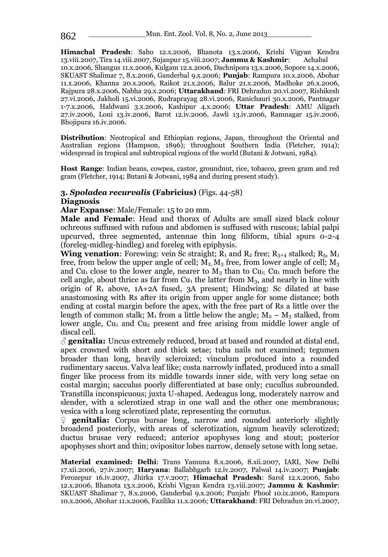**Himachal Pradesh**: Saho 12.x.2006, Bhanota 13.x.2006, Krishi Vigyan Kendra 13.viii.2007, Tira 14.viii.2007, Sujanpur 15.viii.2007; **Jammu & Kashmir**: 10.x.2006, Shangus 11.x.2006, Kulgam 12.x.2006, Dachnipora 13.x.2006, Sopore 14.x.2006, SKUAST Shalimar 7, 8.x.2006, Ganderbal 9.x.2006; **Punjab**: Rampura 10.x.2006, Abohar 11.x.2006, Khanna 20.x.2006, Raikot 21.x.2006, Balur 21.x.2006, Madhoke 26.x.2006, Rajpura 28.x.2006, Nabha 29.x.2006; **Uttarakhand**: FRI Dehradun 20.vi.2007, Rishikesh 27.vi.2006, Jakholi 15.vi.2006, Rudraprayag 28.vi.2006, Ranichauri 30.x.2006, Pantnagar 1-7.x.2006, Haldwani 3.x.2006, Kashipur 4.x.2006; **Uttar Pradesh**: AMU Aligarh 27.iv.2006, Loni 13.iv.2006, Barot 12.iv.2006, Jawli 13.iv.2006, Ramnagar 15.iv.2006, Bhojipura 16.iv.2006.

**Distribution**: Neotropical and Ethiopian regions, Japan, throughout the Oriental and Australian regions (Hampson, 1896); throughout Southern India (Fletcher, 1914); widespread in tropical and subtropical regions of the world (Butani & Jotwani, 1984).

**Host Range**: Indian beans, cowpea, castor, groundnut, rice, tobacco, green gram and red gram (Fletcher, 1914; Butani & Jotwani, 1984 and during present study).

### **3.** *Spoladea recurvalis* **(Fabricius)** (Figs. 44-58)

#### **Diagnosis**

**Alar Expanse**: Male/Female: 15 to 20 mm.

**Male and Female**: Head and thorax of Adults are small sized black colour ochreous suffused with rufous and abdomen is suffused with ruscous; labial palpi upcurved, three segmented, antennae thin long filiform, tibial spurs 0-2-4 (foreleg-midleg-hindleg) and foreleg with epiphysis.

**Wing venation:** Forewing: vein Sc straight;  $R_1$  and  $R_2$  free;  $R_{3+4}$  stalked;  $R_5$ ,  $M_1$ free, from below the upper angle of cell;  $M_2$ ,  $M_3$  free, from lower angle of cell;  $M_3$ and Cu<sub>1</sub> close to the lower angle, nearer to  $M_3$  than to Cu<sub>1</sub>; Cu<sub>1</sub> much before the cell angle, about thrice as far from  $Cu<sub>1</sub>$  the latter from  $M<sub>3</sub>$ , and nearly in line with origin of  $R_1$  above,  $1A+2A$  fused,  $3A$  present; Hindwing: Sc dilated at base anastomosing with Rs after its origin from upper angle for some distance; both ending at costal margin before the apex, with the free part of Rs a little over the length of common stalk;  $M_1$  from a little below the angle;  $M_2 - M_3$  stalked, from lower angle,  $Cu<sub>1</sub>$  and  $Cu<sub>2</sub>$  present and free arising from middle lower angle of discal cell.

♂ **genitalia:** Uncus extremely reduced, broad at based and rounded at distal end, apex crowned with short and thick setae; tuba nails not examined; tegumen broader than long, heavily scleroized; vinculum produced into a rounded rudimentary saccus. Valva leaf like; costa narrowly inflated, produced into a small finger like process from its middle towards inner side, with very long setae on costal margin; sacculus poorly differentiated at base only; cucullus subrounded. Transtilla inconspicuous; juxta U-shaped. Aedeagus long, moderately narrow and slender, with a sclerotized strap in one wall and the other one membranous; vesica with a long sclerotized plate, representing the cornutus.

♀ **genitalia:** Corpus bursae long, narrow and rounded anteriorly slightly broadend posteriorly, with areas of sclerotization, signum heavily sclerotized; ductus brusae very reduced; anterior apophyses long and stout; posterior apophyses short and thin; ovipositor lobes narrow, densely setose with long setae.

**Material examined: Delhi**: Trans Yamuna 8.x.2006, 8.xii.2007, IARI, New Delhi 17.xii.2006, 27.iv.2007; **Haryana**: Ballabhgarh 12.iv.2007, Palwal 14.iv.2007; **Punjab**: Ferozepur 16.iv.2007, Jhirka 17.v.2007; **Himachal Pradesh**: Sarol 12.x.2006, Saho 12.x.2006, Bhanota 13.x.2006, Krishi Vigyan Kendra 13.viii.2007; **Jammu & Kashmir**: SKUAST Shalimar 7, 8.x.2006, Ganderbal 9.x.2006; Punjab: Phool 10.ix.2006, Rampura 10.x.2006, Abohar 11.x.2006, Fazilika 11.x.2006; **Uttarakhand**: FRI Dehradun 20.vi.2007,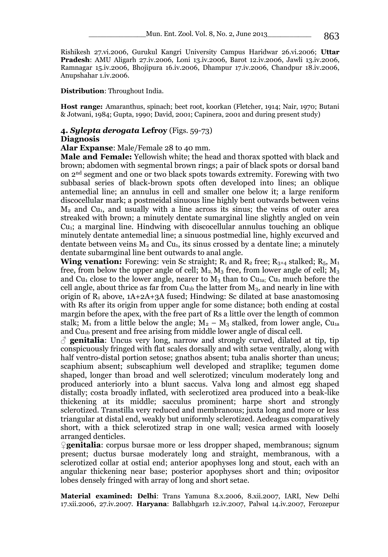Rishikesh 27.vi.2006, Gurukul Kangri University Campus Haridwar 26.vi.2006; **Uttar Pradesh**: AMU Aligarh 27.iv.2006, Loni 13.iv.2006, Barot 12.iv.2006, Jawli 13.iv.2006, Ramnagar 15.iv.2006, Bhojipura 16.iv.2006, Dhampur 17.iv.2006, Chandpur 18.iv.2006, Anupshahar 1.iv.2006.

**Distribution**: Throughout India.

**Host range:** Amaranthus, spinach; beet root, koorkan (Fletcher, 1914; Nair, 1970; Butani & Jotwani, 1984; Gupta, 1990; David, 2001; Capinera, 2001 and during present study)

# **4.** *Sylepta derogata* **Lefroy** (Figs. 59-73)

#### **Diagnosis**

**Alar Expanse**: Male/Female 28 to 40 mm.

**Male and Female:** Yellowish white; the head and thorax spotted with black and brown; abdomen with segmental brown rings; a pair of black spots or dorsal band on 2nd segment and one or two black spots towards extremity. Forewing with two subbasal series of black-brown spots often developed into lines; an oblique antemedial line; an annulus in cell and smaller one below it; a large reniform discocellular mark; a postmeidal sinuous line highly bent outwards between veins  $M<sub>2</sub>$  and Cu<sub>1</sub>, and usually with a line across its sinus; the veins of outer area streaked with brown; a minutely dentate sumarginal line slightly angled on vein  $Cu<sub>1</sub>$ ; a marginal line. Hindwing with discocellular annulus touching an oblique minutely dentate antemedial line; a sinuous postmedial line, highly excurved and dentate between veins  $M_2$  and Cu<sub>1</sub>, its sinus crossed by a dentate line; a minutely dentate subarmginal line bent outwards to anal angle.

**Wing venation:** Forewing: vein Sc straight;  $R_1$  and  $R_2$  free;  $R_{3+4}$  stalked;  $R_5$ ,  $M_1$ free, from below the upper angle of cell;  $\overline{M}_2$ ,  $\overline{M}_3$  free, from lower angle of cell;  $\overline{M}_3$ and Cu<sub>1</sub> close to the lower angle, nearer to  $M_3$  than to Cu<sub>1a;</sub> Cu<sub>1</sub> much before the cell angle, about thrice as far from  $Cu<sub>1b</sub>$  the latter from  $M<sub>3</sub>$ , and nearly in line with origin of  $R_1$  above,  $1A+2A+3A$  fused; Hindwing: Sc dilated at base anastomosing with Rs after its origin from upper angle for some distance; both ending at costal margin before the apex, with the free part of Rs a little over the length of common stalk; M<sub>1</sub> from a little below the angle;  $M_2 - M_3$  stalked, from lower angle, Cu<sub>1a</sub> and Cu1b present and free arising from middle lower angle of discal cell.

 $\delta$  **genitalia**: Uncus very long, narrow and strongly curved, dilated at tip, tip conspicuously fringed with flat scales dorsally and with setae ventrally, along with half ventro-distal portion setose; gnathos absent; tuba analis shorter than uncus; scaphium absent; subscaphium well developed and straplike; tegumen dome shaped, longer than broad and well sclerotized; vinculum moderately long and produced anteriorly into a blunt saccus. Valva long and almost egg shaped distally; costa broadly inflated, with seclerotized area produced into a beak-like thickening at its middle; sacculus prominent; harpe short and strongly sclerotized. Transtilla very reduced and membranous; juxta long and more or less triangular at distal end, weakly but uniformly sclerotized. Aedeagus comparatively short, with a thick sclerotized strap in one wall; vesica armed with loosely arranged denticles.

♀**genitalia**: corpus bursae more or less dropper shaped, membranous; signum present; ductus bursae moderately long and straight, membranous, with a sclerotized collar at ostial end; anterior apophyses long and stout, each with an angular thickening near base; posterior apophyses short and thin; ovipositor lobes densely fringed with array of long and short setae.

**Material examined: Delhi**: Trans Yamuna 8.x.2006, 8.xii.2007, IARI, New Delhi 17.xii.2006, 27.iv.2007. **Haryana**: Ballabhgarh 12.iv.2007, Palwal 14.iv.2007, Ferozepur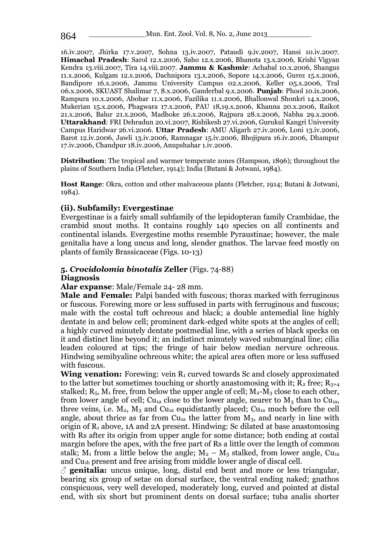16.iv.2007, Jhirka 17.v.2007, Sohna 13.iv.2007, Pataudi 9.iv.2007, Hansi 10.iv.2007. **Himachal Pradesh**: Sarol 12.x.2006, Saho 12.x.2006, Bhanota 13.x.2006, Krishi Vigyan Kendra 13.viii.2007, Tira 14.viii.2007. **Jammu & Kashmir**: Achabal 10.x.2006, Shangus 11.x.2006, Kulgam 12.x.2006, Dachnipora 13.x.2006, Sopore 14.x.2006, Gurez 15.x.2006, Bandipore 16.x.2006, Jammu University Campus 02.x.2006, Keller 05.x.2006, Tral 06.x.2006, SKUAST Shalimar 7, 8.x.2006, Ganderbal 9.x.2006. **Punjab**: Phool 10.ix.2006, Rampura 10.x.2006, Abohar 11.x.2006, Fazilika 11.x.2006, Bhallonwal Shonkri 14.x.2006, Mukerian 15.x.2006, Phagwara 17.x.2006, PAU 18,19.x.2006, Khanna 20.x.2006, Raikot 21.x.2006, Balur 21.x.2006, Madhoke 26.x.2006, Rajpura 28.x.2006, Nabha 29.x.2006. **Uttarakhand**: FRI Dehradun 20.vi.2007, Rishikesh 27.vi.2006, Gurukul Kangri University Campus Haridwar 26.vi.2006. **Uttar Pradesh**: AMU Aligarh 27.iv.2006, Loni 13.iv.2006, Barot 12.iv.2006, Jawli 13.iv.2006, Ramnagar 15.iv.2006, Bhojipura 16.iv.2006, Dhampur 17.iv.2006, Chandpur 18.iv.2006, Anupshahar 1.iv.2006.

**Distribution**: The tropical and warmer temperate zones (Hampson, 1896); throughout the plains of Southern India (Fletcher, 1914); India (Butani & Jotwani, 1984).

**Host Range**: Okra, cotton and other malvaceous plants (Fletcher, 1914; Butani & Jotwani, 1984).

## **(ii). Subfamily: Evergestinae**

Evergestinae is a fairly small subfamily of the lepidopteran family Crambidae, the crambid snout moths. It contains roughly 140 species on all continents and continental islands. Evergestine moths resemble Pyraustinae; however, the male genitalia have a long uncus and long, slender gnathos. The larvae feed mostly on plants of family Brassicaceae (Figs. 10-13)

# **5.** *Crocidolomia binotalis* **Zeller** (Figs. 74-88)

### **Diagnosis**

**Alar expanse**: Male/Female 24- 28 mm.

**Male and Female:** Palpi banded with fuscous; thorax marked with ferruginous or fuscous. Forewing more or less suffused in parts with ferruginous and fuscous; male with the costal tuft ochreous and black; a double antemedial line highly dentate in and below cell; prominent dark-edged white spots at the angles of cell; a highly curved minutely dentate postmedial line, with a series of black specks on it and distinct line beyond it; an indistinct minutely waved submarginal line; cilia leaden coloured at tips; the fringe of hair below median nervure ochreous. Hindwing semihyaline ochreous white; the apical area often more or less suffused with fuscous.

**Wing venation:** Forewing: vein R<sub>1</sub> curved towards Sc and closely approximated to the latter but sometimes touching or shortly anastomosing with it;  $R_2$  free;  $R_{3+4}$ stalked;  $R_5$ ,  $M_1$  free, from below the upper angle of cell;  $M_2-M_3$  close to each other, from lower angle of cell; Cu<sub>1a</sub> close to the lower angle, nearer to  $M_3$  than to Cu<sub>1a</sub>, three veins, i.e.  $M_2$ ,  $M_3$  and Cu<sub>1a</sub> equidistantly placed; Cu<sub>1a</sub> much before the cell angle, about thrice as far from  $Cu<sub>1a</sub>$  the latter from  $M<sub>3</sub>$ , and nearly in line with origin of  $R_1$  above, 1A and 2A present. Hindwing: Sc dilated at base anastomosing with Rs after its origin from upper angle for some distance; both ending at costal margin before the apex, with the free part of Rs a little over the length of common stalk;  $M_1$  from a little below the angle;  $M_2 - M_3$  stalked, from lower angle, Cu<sub>1a</sub> and Cu1b present and free arising from middle lower angle of discal cell.

 $\beta$  **genitalia:** uncus unique, long, distal end bent and more or less triangular, bearing six group of setae on dorsal surface, the ventral ending naked; gnathos conspicuous, very well developed, moderately long, curved and pointed at distal end, with six short but prominent dents on dorsal surface; tuba analis shorter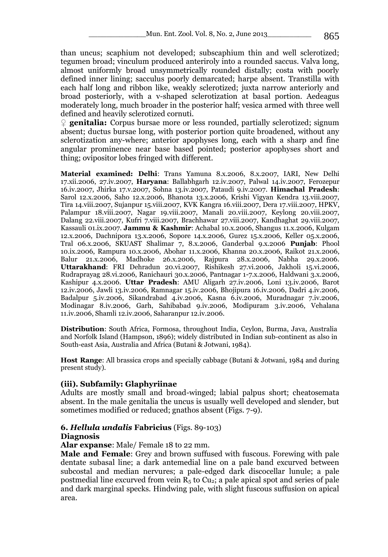than uncus; scaphium not developed; subscaphium thin and well sclerotized; tegumen broad; vinculum produced anteriroly into a rounded saccus. Valva long, almost uniformly broad unsymmetrically rounded distally; costa with poorly defined inner lining; sacculus poorly demarcated; harpe absent. Transtilla with each half long and ribbon like, weakly sclerotized; juxta narrow anteriorly and broad posteriorly, with a v-shaped sclerotization at basal portion. Aedeagus moderately long, much broader in the posterior half; vesica armed with three well defined and heavily sclerotized cornuti.

♀ **genitalia:** Corpus bursae more or less rounded, partially sclerotized; signum absent; ductus bursae long, with posterior portion quite broadened, without any sclerotization any-where; anterior apophyses long, each with a sharp and fine angular prominence near base based pointed; posterior apophyses short and thing; ovipositor lobes fringed with different.

**Material examined: Delhi**: Trans Yamuna 8.x.2006, 8.x.2007, IARI, New Delhi 17.xii.2006, 27.iv.2007, **Haryana**: Ballabhgarh 12.iv.2007, Palwal 14.iv.2007, Ferozepur 16.iv.2007, Jhirka 17.v.2007, Sohna 13.iv.2007, Pataudi 9.iv.2007. **Himachal Pradesh**: Sarol 12.x.2006, Saho 12.x.2006, Bhanota 13.x.2006, Krishi Vigyan Kendra 13.viii.2007, Tira 14.viii.2007, Sujanpur 15.viii.2007, KVK Kangra 16.viii.2007, Dera 17.viii.2007, HPKV, Palampur 18.viii.2007, Nagar 19.viii.2007, Manali 20.viii.2007, Keylong 20.viii.2007, Dalang 22.viii.2007, Kufri 7.viii.2007, Brachhawar 27.viii.2007, Kandhaghat 29.viii.2007, Kassauli 01.ix.2007. **Jammu & Kashmir**: Achabal 10.x.2006, Shangus 11.x.2006, Kulgam 12.x.2006, Dachnipora 13.x.2006, Sopore 14.x.2006, Gurez 15.x.2006, Keller 05.x.2006, Tral 06.x.2006, SKUAST Shalimar 7, 8.x.2006, Ganderbal 9.x.2006 **Punjab**: Phool 10.ix.2006, Rampura 10.x.2006, Abohar 11.x.2006, Khanna 20.x.2006, Raikot 21.x.2006, Balur 21.x.2006, Madhoke 26.x.2006, Rajpura 28.x.2006, Nabha 29.x.2006. **Uttarakhand**: FRI Dehradun 20.vi.2007, Rishikesh 27.vi.2006, Jakholi 15.vi.2006, Rudraprayag 28.vi.2006, Ranichauri 30.x.2006, Pantnagar 1-7.x.2006, Haldwani 3.x.2006, Kashipur 4.x.2006. **Uttar Pradesh**: AMU Aligarh 27.iv.2006, Loni 13.iv.2006, Barot 12.iv.2006, Jawli 13.iv.2006, Ramnagar 15.iv.2006, Bhojipura 16.iv.2006, Dadri 4.iv.2006, Badalpur 5.iv.2006, Sikandrabad 4.iv.2006, Kasna 6.iv.2006, Muradnagar 7.iv.2006, Modinagar 8.iv.2006, Garh, Sahibabad 9.iv.2006, Modipuram 3.iv.2006, Vehalana 11.iv.2006, Shamli 12.iv.2006, Saharanpur 12.iv.2006.

**Distribution**: South Africa, Formosa, throughout India, Ceylon, Burma, Java, Australia and Norfolk Island (Hampson, 1896); widely distributed in Indian sub-continent as also in South-east Asia, Australia and Africa (Butani & Jotwani, 1984).

**Host Range**: All brassica crops and specially cabbage (Butani & Jotwani, 1984 and during present study).

# **(iii). Subfamily: Glaphyriinae**

Adults are mostly small and broad-winged; labial palpus short; cheatosemata absent. In the male genitalia the uncus is usually well developed and slender, but sometimes modified or reduced; gnathos absent (Figs. 7-9).

## **6.** *Hellula undalis* **Fabricius** (Figs. 89-103)

## **Diagnosis**

**Alar expanse**: Male/ Female 18 to 22 mm.

**Male and Female**: Grey and brown suffused with fuscous. Forewing with pale dentate subasal line; a dark antemedial line on a pale band excurved between subcostal and median nervures; a pale-edged dark discocellar lunule; a pale postmedial line excurved from vein  $R_5$  to Cu<sub>2</sub>; a pale apical spot and series of pale and dark marginal specks. Hindwing pale, with slight fuscous suffusion on apical area.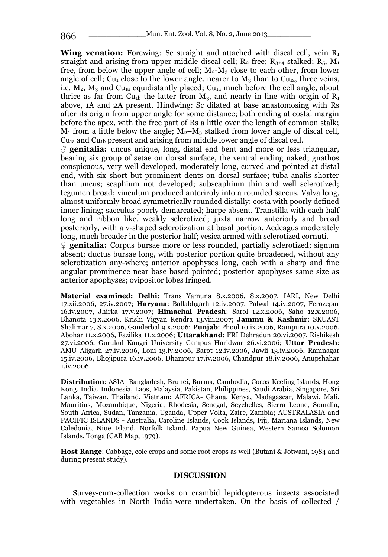**Wing venation:** Forewing: Sc straight and attached with discal cell, vein R<sub>1</sub> straight and arising from upper middle discal cell;  $R_2$  free;  $R_{3+4}$  stalked;  $R_5$ ,  $M_1$ free, from below the upper angle of cell;  $M_2-M_3$  close to each other, from lower angle of cell; Cu<sub>1</sub> close to the lower angle, nearer to  $M_3$  than to Cu<sub>1a</sub>, three veins, i.e.  $M_2$ ,  $M_3$  and Cu<sub>1a</sub> equidistantly placed; Cu<sub>1a</sub> much before the cell angle, about thrice as far from Cu<sub>1b</sub> the latter from  $M_3$ , and nearly in line with origin of R<sub>1</sub> above, 1A and 2A present. Hindwing: Sc dilated at base anastomosing with Rs after its origin from upper angle for some distance; both ending at costal margin before the apex, with the free part of Rs a little over the length of common stalk;  $M_1$  from a little below the angle;  $M_2-M_3$  stalked from lower angle of discal cell, Cu1a and Cu1b present and arising from middle lower angle of discal cell.

 $\beta$  **genitalia:** uncus unique, long, distal end bent and more or less triangular, bearing six group of setae on dorsal surface, the ventral ending naked; gnathos conspicuous, very well developed, moderately long, curved and pointed at distal end, with six short but prominent dents on dorsal surface; tuba analis shorter than uncus; scaphium not developed; subscaphium thin and well sclerotized; tegumen broad; vinculum produced anteriroly into a rounded saccus. Valva long, almost uniformly broad symmetrically rounded distally; costa with poorly defined inner lining; sacculus poorly demarcated; harpe absent. Transtilla with each half long and ribbon like, weakly sclerotized; juxta narrow anteriorly and broad posteriorly, with a v-shaped sclerotization at basal portion. Aedeagus moderately long, much broader in the posterior half; vesica armed with sclerotized cornuti.

♀ **genitalia:** Corpus bursae more or less rounded, partially sclerotized; signum absent; ductus bursae long, with posterior portion quite broadened, without any sclerotization any-where; anterior apophyses long, each with a sharp and fine angular prominence near base based pointed; posterior apophyses same size as anterior apophyses; ovipositor lobes fringed.

**Material examined: Delhi**: Trans Yamuna 8.x.2006, 8.x.2007, IARI, New Delhi 17.xii.2006, 27.iv.2007; **Haryana**: Ballabhgarh 12.iv.2007, Palwal 14.iv.2007, Ferozepur 16.iv.2007, Jhirka 17.v.2007; **Himachal Pradesh**: Sarol 12.x.2006, Saho 12.x.2006, Bhanota 13.x.2006, Krishi Vigyan Kendra 13.viii.2007; **Jammu & Kashmir**: SKUAST Shalimar 7, 8.x.2006, Ganderbal 9.x.2006; **Punjab**: Phool 10.ix.2006, Rampura 10.x.2006, Abohar 11.x.2006, Fazilika 11.x.2006; **Uttarakhand**: FRI Dehradun 20.vi.2007, Rishikesh 27.vi.2006, Gurukul Kangri University Campus Haridwar 26.vi.2006; **Uttar Pradesh**: AMU Aligarh 27.iv.2006, Loni 13.iv.2006, Barot 12.iv.2006, Jawli 13.iv.2006, Ramnagar 15.iv.2006, Bhojipura 16.iv.2006, Dhampur 17.iv.2006, Chandpur 18.iv.2006, Anupshahar 1.iv.2006.

**Distribution**: ASIA- Bangladesh, Brunei, Burma, Cambodia, Cocos-Keeling Islands, Hong Kong, India, Indonesia, Laos, Malaysia, Pakistan, Philippines, Saudi Arabia, Singapore, Sri Lanka, Taiwan, Thailand, Vietnam; AFRICA- Ghana, Kenya, Madagascar, Malawi, Mali, Mauritius, Mozambique, Nigeria, Rhodesia, Senegal, Seychelles, Sierra Leone, Somalia, South Africa, Sudan, Tanzania, Uganda, Upper Volta, Zaire, Zambia; AUSTRALASIA and PACIFIC ISLANDS - Australia, Caroline Islands, Cook Islands, Fiji, Mariana Islands, New Caledonia, Niue Island, Norfolk Island, Papua New Guinea, Western Samoa Solomon Islands, Tonga (CAB Map, 1979).

**Host Range**: Cabbage, cole crops and some root crops as well (Butani & Jotwani, 1984 and during present study).

#### **DISCUSSION**

Survey-cum-collection works on crambid lepidopterous insects associated with vegetables in North India were undertaken. On the basis of collected /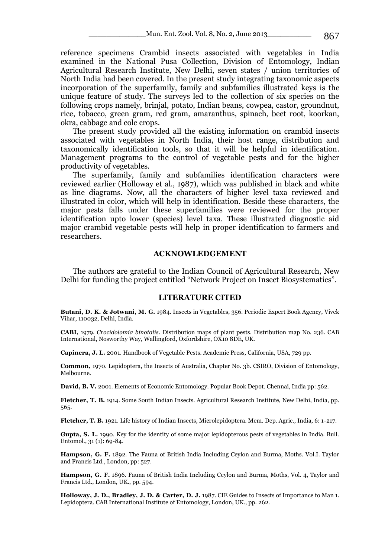reference specimens Crambid insects associated with vegetables in India examined in the National Pusa Collection, Division of Entomology, Indian Agricultural Research Institute, New Delhi, seven states / union territories of North India had been covered. In the present study integrating taxonomic aspects incorporation of the superfamily, family and subfamilies illustrated keys is the unique feature of study. The surveys led to the collection of six species on the following crops namely, brinjal, potato, Indian beans, cowpea, castor, groundnut, rice, tobacco, green gram, red gram, amaranthus, spinach, beet root, koorkan, okra, cabbage and cole crops.

The present study provided all the existing information on crambid insects associated with vegetables in North India, their host range, distribution and taxonomically identification tools, so that it will be helpful in identification. Management programs to the control of vegetable pests and for the higher productivity of vegetables.

The superfamily, family and subfamilies identification characters were reviewed earlier (Holloway et al., 1987), which was published in black and white as line diagrams. Now, all the characters of higher level taxa reviewed and illustrated in color, which will help in identification. Beside these characters, the major pests falls under these superfamilies were reviewed for the proper identification upto lower (species) level taxa. These illustrated diagnostic aid major crambid vegetable pests will help in proper identification to farmers and researchers.

### **ACKNOWLEDGEMENT**

The authors are grateful to the Indian Council of Agricultural Research, New Delhi for funding the project entitled "Network Project on Insect Biosystematics".

#### **LITERATURE CITED**

**Butani, D. K. & Jotwani, M. G.** 1984. Insects in Vegetables, 356. Periodic Expert Book Agency, Vivek Vihar, 110032, Delhi, India.

**CABI,** 1979. *Crocidolomia binotalis*. Distribution maps of plant pests. Distribution map No. 236. CAB International, Nosworthy Way, Wallingford, Oxfordshire, OX10 8DE, UK.

**Capinera, J. L.** 2001. Handbook of Vegetable Pests. Academic Press, California, USA, 729 pp.

**Common,** 1970. Lepidoptera, the Insects of Australia, Chapter No. 3b. CSIRO, Division of Entomology, Melbourne.

**David, B. V.** 2001. Elements of Economic Entomology. Popular Book Depot. Chennai, India pp: 562.

**Fletcher, T. B.** 1914. Some South Indian Insects. Agricultural Research Institute, New Delhi, India, pp. 565.

**Fletcher, T. B.** 1921. Life history of Indian Insects, Microlepidoptera. Mem. Dep. Agric., India, 6: 1-217.

**Gupta, S. L.** 1990. Key for the identity of some major lepidopterous pests of vegetables in India. Bull. Entomol., 31 (1): 69-84.

**Hampson, G. F.** 1892. The Fauna of British India Including Ceylon and Burma, Moths. Vol.I. Taylor and Francis Ltd., London, pp: 527.

**Hampson, G. F.** 1896. Fauna of British India Including Ceylon and Burma, Moths, Vol. 4, Taylor and Francis Ltd., London, UK., pp. 594.

**Holloway, J. D., Bradley, J. D. & Carter, D. J.** 1987. CIE Guides to Insects of Importance to Man 1. Lepidoptera. CAB International Institute of Entomology, London, UK., pp. 262.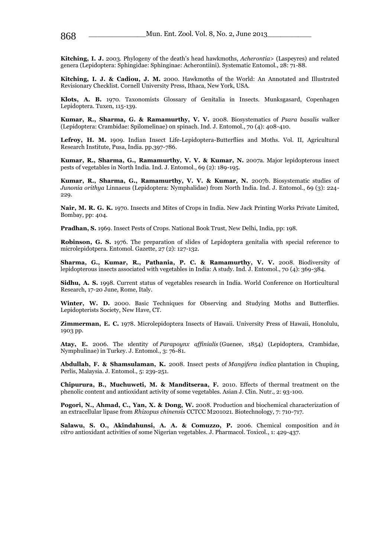**Kitching, I. J.** 2003. Phylogeny of the death's head hawkmoths, *Acherontia>* (Laspeyres) and related genera (Lepidoptera: Sphingidae: Sphinginae: Acherontiini). Systematic Entomol., 28: 71-88.

**Kitching, I. J. & Cadiou, J. M.** 2000. Hawkmoths of the World: An Annotated and Illustrated Revisionary Checklist. Cornell University Press, Ithaca, New York, USA.

**Klots, A. B.** 1970. Taxonomists Glossary of Genitalia in Insects. Munksgasard, Copenhagen Lepidoptera. Tuxen, 115-139.

**Kumar, R., Sharma, G. & Ramamurthy, V. V.** 2008. Biosystematics of *Psara basalis* walker (Lepidoptera: Crambidae: Spilomelinae) on spinach. Ind. J. Entomol., 70 (4): 408-410.

**Lefroy, H. M.** 1909. Indian Insect Life-Lepidoptera-Butterflies and Moths. Vol. II, Agricultural Research Institute, Pusa, India. pp.397-786.

**Kumar, R., Sharma, G., Ramamurthy, V. V. & Kumar, N.** 2007a. Major lepidopterous insect pests of vegetables in North India. Ind. J. Entomol., 69 (2): 189-195.

**Kumar, R., Sharma, G., Ramamurthy, V. V. & Kumar, N.** 2007b. Biosystematic studies of *Junonia orithya* Linnaeus (Lepidoptera: Nymphalidae) from North India. Ind. J. Entomol., 69 (3): 224- 229.

**Nair, M. R. G. K.** 1970. Insects and Mites of Crops in India. New Jack Printing Works Private Limited, Bombay, pp: 404.

**Pradhan, S.** 1969. Insect Pests of Crops. National Book Trust, New Delhi, India, pp: 198.

**Robinson, G. S.** 1976. The preparation of slides of Lepidoptera genitalia with special reference to microlepidotpera. Entomol. Gazette, 27 (2): 127-132.

**Sharma, G., Kumar, R., Pathania, P. C. & Ramamurthy, V. V.** 2008. Biodiversity of lepidopterous insects associated with vegetables in India: A study. Ind. J. Entomol., 70 (4): 369-384.

**Sidhu, A. S.** 1998. Current status of vegetables research in India. World Conference on Horticultural Research, 17-20 June, Rome, Italy.

**Winter, W. D.** 2000. Basic Techniques for Observing and Studying Moths and Butterflies. Lepidopterists Society, New Have, CT.

**Zimmerman, E. C.** 1978. Microlepidoptera Insects of Hawaii. University Press of Hawaii, Honolulu, 1903 pp.

**Atay, E.** 2006. The ıdentity of *Parapoynx affinialis* (Guenee, 1854) (Lepidoptera, Crambidae, Nymphulinae) in Turkey. J. Entomol., 3: 76-81.

**Abdullah, F. & Shamsulaman, K.** 2008. Insect pests of *Mangifera indica* plantation in Chuping, Perlis, Malaysia. J. Entomol., 5: 239-251.

**Chipurura, B., Muchuweti, M. & Manditseraa, F.** 2010. Effects of thermal treatment on the phenolic content and antioxidant activity of some vegetables. Asian J. Clin. Nutr., 2: 93-100.

**Pogori, N., Ahmad, C., Yan, X. & Dong, W.** 2008. Production and biochemical characterization of an extracellular lipase from *Rhizopus chinensis* CCTCC M201021. Biotechnology, 7: 710-717.

**Salawu, S. O., Akindahunsi, A. A. & Comuzzo, P.** 2006. Chemical composition and *in vitro* antioxidant activities of some Nigerian vegetables. J. Pharmacol. Toxicol., 1: 429-437.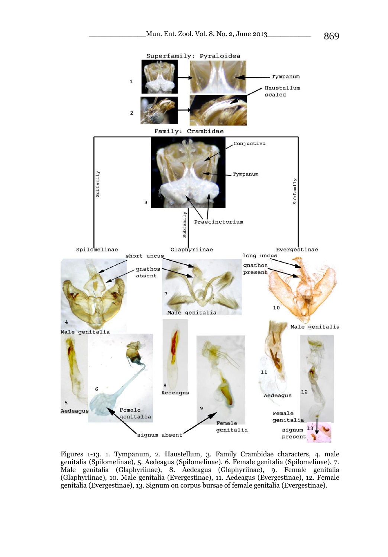

Figures 1-13. 1. Tympanum, 2. Haustellum, 3. Family Crambidae characters, 4. male genitalia (Spilomelinae), 5. Aedeagus (Spilomelinae), 6. Female genitalia (Spilomelinae), 7. Male genitalia (Glaphyriinae), 8. Aedeagus (Glaphyriinae), 9. Female genitalia (Glaphyriinae), 10. Male genitalia (Evergestinae), 11. Aedeagus (Evergestinae), 12. Female genitalia (Evergestinae), 13. Signum on corpus bursae of female genitalia (Evergestinae).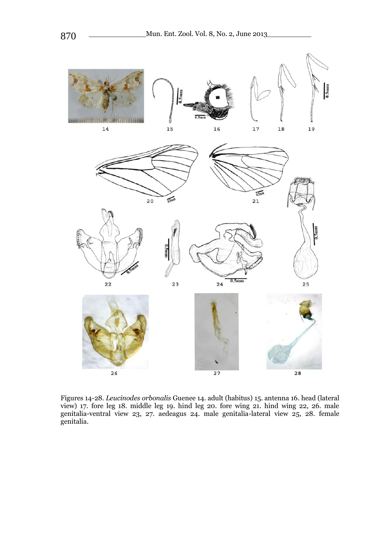

Figures 14-28. *Leucinodes orbonalis* Guenee 14. adult (habitus) 15. antenna 16. head (lateral view) 17. fore leg 18. middle leg 19. hind leg 20. fore wing 21. hind wing 22, 26. male genitalia-ventral view 23, 27. aedeagus 24. male genitalia-lateral view 25, 28. female genitalia.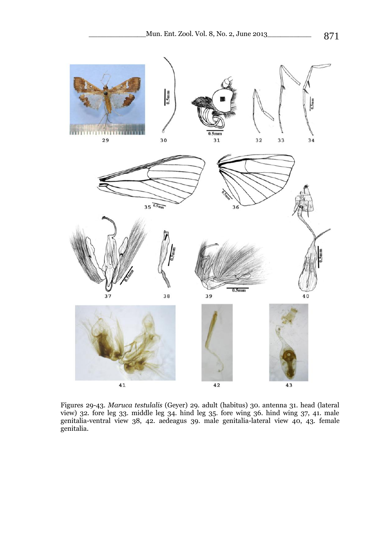

Figures 29-43. *Maruca testulalis* (Geyer) 29. adult (habitus) 30. antenna 31. head (lateral view) 32. fore leg 33. middle leg 34. hind leg 35. fore wing 36. hind wing 37, 41. male genitalia-ventral view 38, 42. aedeagus 39. male genitalia-lateral view 40, 43. female genitalia.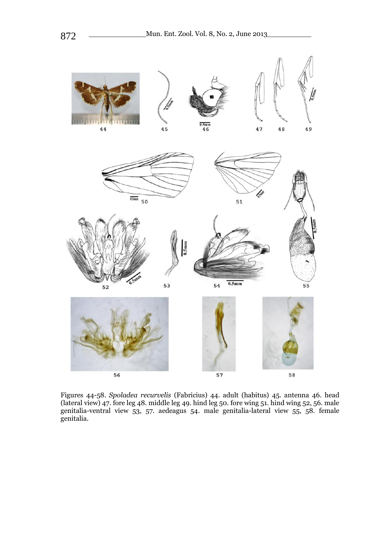

Figures 44-58. *Spoladea recurvelis* (Fabricius) 44. adult (habitus) 45. antenna 46. head (lateral view) 47. fore leg 48. middle leg 49. hind leg 50. fore wing 51. hind wing 52, 56. male genitalia-ventral view 53, 57. aedeagus 54. male genitalia-lateral view 55, 58. female genitalia.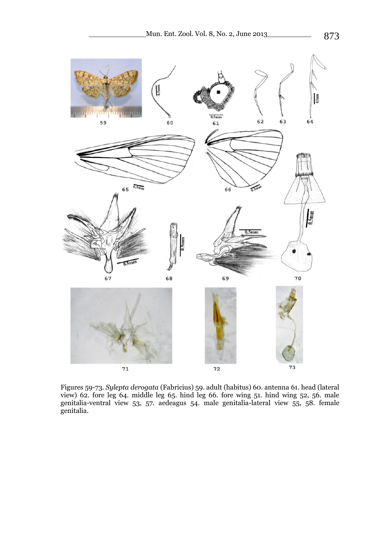

Figures 59-73. *Sylepta derogata* (Fabricius) 59. adult (habitus) 60. antenna 61. head (lateral view) 62. fore leg 64. middle leg 65. hind leg 66. fore wing 51. hind wing 52, 56. male genitalia-ventral view 53, 57. aedeagus 54. male genitalia-lateral view 55, 58. female genitalia.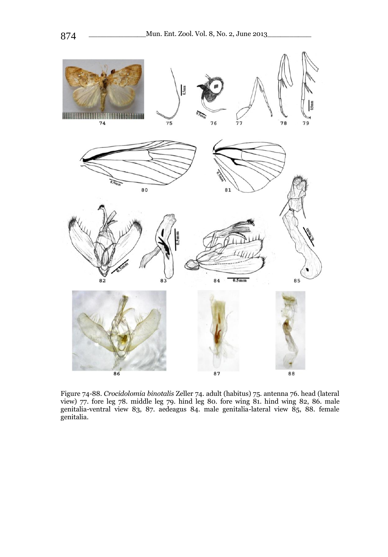

Figure 74-88. *Crocidolomia binotalis* Zeller 74. adult (habitus) 75. antenna 76. head (lateral view) 77. fore leg 78. middle leg 79. hind leg 80. fore wing 81. hind wing 82, 86. male genitalia-ventral view 83, 87. aedeagus 84. male genitalia-lateral view 85, 88. female genitalia.